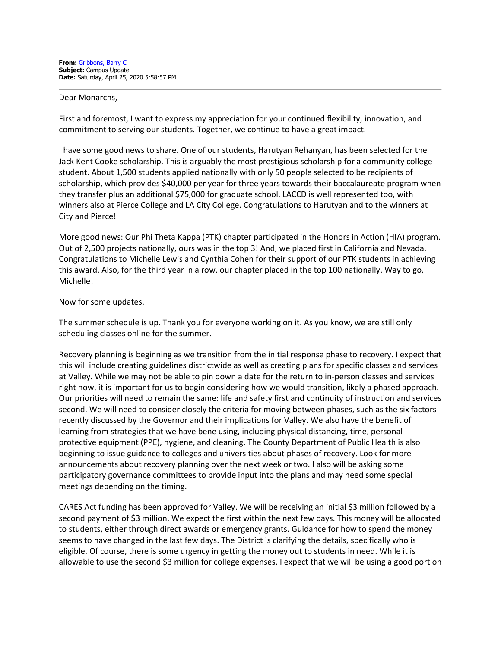## Dear Monarchs,

First and foremost, I want to express my appreciation for your continued flexibility, innovation, and commitment to serving our students. Together, we continue to have a great impact.

I have some good news to share. One of our students, Harutyan Rehanyan, has been selected for the Jack Kent Cooke scholarship. This is arguably the most prestigious scholarship for a community college student. About 1,500 students applied nationally with only 50 people selected to be recipients of scholarship, which provides \$40,000 per year for three years towards their baccalaureate program when they transfer plus an additional \$75,000 for graduate school. LACCD is well represented too, with winners also at Pierce College and LA City College. Congratulations to Harutyan and to the winners at City and Pierce!

More good news: Our Phi Theta Kappa (PTK) chapter participated in the Honors in Action (HIA) program. Out of 2,500 projects nationally, ours was in the top 3! And, we placed first in California and Nevada. Congratulations to Michelle Lewis and Cynthia Cohen for their support of our PTK students in achieving this award. Also, for the third year in a row, our chapter placed in the top 100 nationally. Way to go, Michelle!

## Now for some updates.

The summer schedule is up. Thank you for everyone working on it. As you know, we are still only scheduling classes online for the summer.

Recovery planning is beginning as we transition from the initial response phase to recovery. I expect that this will include creating guidelines districtwide as well as creating plans for specific classes and services at Valley. While we may not be able to pin down a date for the return to in-person classes and services right now, it is important for us to begin considering how we would transition, likely a phased approach. Our priorities will need to remain the same: life and safety first and continuity of instruction and services second. We will need to consider closely the criteria for moving between phases, such as the six factors recently discussed by the Governor and their implications for Valley. We also have the benefit of learning from strategies that we have bene using, including physical distancing, time, personal protective equipment (PPE), hygiene, and cleaning. The County Department of Public Health is also beginning to issue guidance to colleges and universities about phases of recovery. Look for more announcements about recovery planning over the next week or two. I also will be asking some participatory governance committees to provide input into the plans and may need some special meetings depending on the timing.

CARES Act funding has been approved for Valley. We will be receiving an initial \$3 million followed by a second payment of \$3 million. We expect the first within the next few days. This money will be allocated to students, either through direct awards or emergency grants. Guidance for how to spend the money seems to have changed in the last few days. The District is clarifying the details, specifically who is eligible. Of course, there is some urgency in getting the money out to students in need. While it is allowable to use the second \$3 million for college expenses, I expect that we will be using a good portion